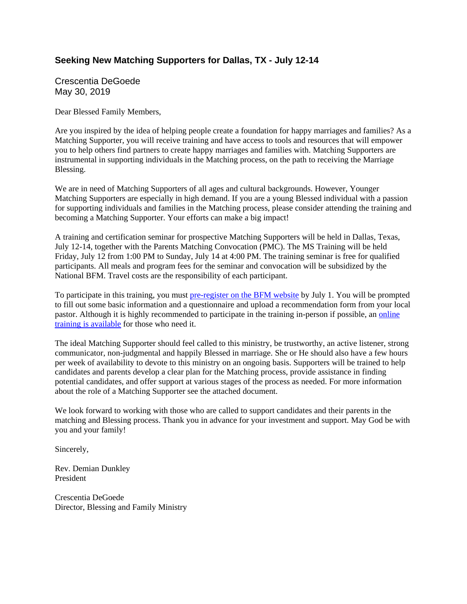# **Seeking New Matching Supporters for Dallas, TX - July 12-14**

Crescentia DeGoede May 30, 2019

Dear Blessed Family Members,

Are you inspired by the idea of helping people create a foundation for happy marriages and families? As a Matching Supporter, you will receive training and have access to tools and resources that will empower you to help others find partners to create happy marriages and families with. Matching Supporters are instrumental in supporting individuals in the Matching process, on the path to receiving the Marriage Blessing.

We are in need of Matching Supporters of all ages and cultural backgrounds. However, Younger Matching Supporters are especially in high demand. If you are a young Blessed individual with a passion for supporting individuals and families in the Matching process, please consider attending the training and becoming a Matching Supporter. Your efforts can make a big impact!

A training and certification seminar for prospective Matching Supporters will be held in Dallas, Texas, July 12-14, together with the Parents Matching Convocation (PMC). The MS Training will be held Friday, July 12 from 1:00 PM to Sunday, July 14 at 4:00 PM. The training seminar is free for qualified participants. All meals and program fees for the seminar and convocation will be subsidized by the National BFM. Travel costs are the responsibility of each participant.

To participate in this training, you must pre-register on the BFM website by July 1. You will be prompted to fill out some basic information and a questionnaire and upload a recommendation form from your local pastor. Although it is highly recommended to participate in the training in-person if possible, an online training is available for those who need it.

The ideal Matching Supporter should feel called to this ministry, be trustworthy, an active listener, strong communicator, non-judgmental and happily Blessed in marriage. She or He should also have a few hours per week of availability to devote to this ministry on an ongoing basis. Supporters will be trained to help candidates and parents develop a clear plan for the Matching process, provide assistance in finding potential candidates, and offer support at various stages of the process as needed. For more information about the role of a Matching Supporter see the attached document.

We look forward to working with those who are called to support candidates and their parents in the matching and Blessing process. Thank you in advance for your investment and support. May God be with you and your family!

Sincerely,

Rev. Demian Dunkley President

Crescentia DeGoede Director, Blessing and Family Ministry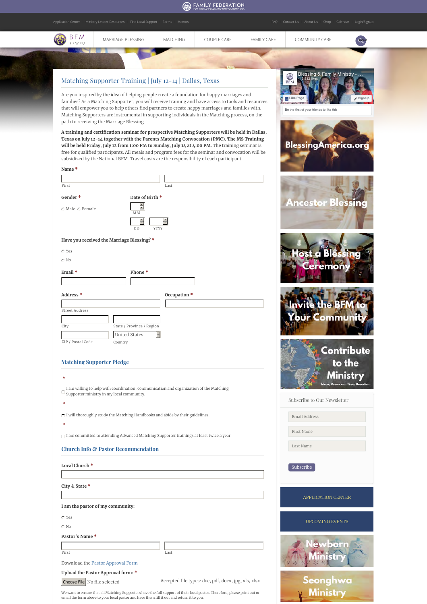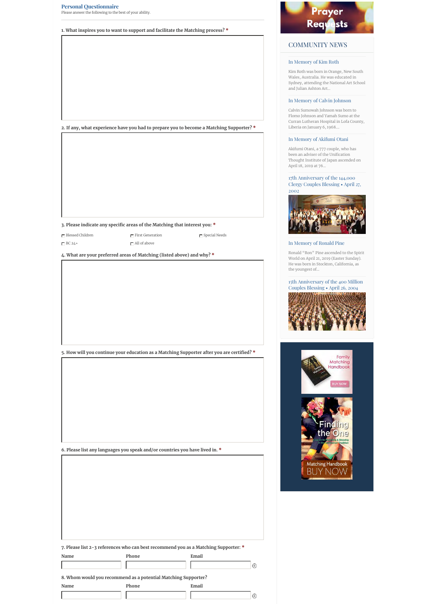|                                  | 1. What inspires you to want to support and facilitate the Matching process? *             |
|----------------------------------|--------------------------------------------------------------------------------------------|
|                                  |                                                                                            |
|                                  |                                                                                            |
|                                  |                                                                                            |
|                                  |                                                                                            |
|                                  |                                                                                            |
|                                  |                                                                                            |
|                                  |                                                                                            |
|                                  |                                                                                            |
|                                  |                                                                                            |
|                                  |                                                                                            |
|                                  | 2. If any, what experience have you had to prepare you to become a Matching Supporter? *   |
|                                  |                                                                                            |
|                                  |                                                                                            |
|                                  |                                                                                            |
|                                  |                                                                                            |
|                                  |                                                                                            |
|                                  |                                                                                            |
|                                  |                                                                                            |
|                                  |                                                                                            |
|                                  |                                                                                            |
|                                  | 3. Please indicate any specific areas of the Matching that interest you: *                 |
| $\mathop{\Box}$ Blessed Children | $\Gamma$ First Generation<br>$\Box$ Special Needs                                          |
| $\Gamma$ BC 24+                  | $\Box$ All of above                                                                        |
|                                  |                                                                                            |
|                                  | 4. What are your preferred areas of Matching (listed above) and why? *                     |
|                                  |                                                                                            |
|                                  |                                                                                            |
|                                  | 5. How will you continue your education as a Matching Supporter after you are certified? * |
|                                  |                                                                                            |
|                                  |                                                                                            |
|                                  |                                                                                            |
|                                  |                                                                                            |
|                                  |                                                                                            |
|                                  |                                                                                            |
|                                  |                                                                                            |
|                                  |                                                                                            |
|                                  |                                                                                            |
|                                  | 6. Please list any languages you speak and/or countries you have lived in. $\ast$          |
|                                  |                                                                                            |
|                                  |                                                                                            |
|                                  |                                                                                            |
|                                  |                                                                                            |
|                                  |                                                                                            |
|                                  |                                                                                            |
|                                  |                                                                                            |
|                                  |                                                                                            |
|                                  |                                                                                            |
|                                  |                                                                                            |
|                                  |                                                                                            |
|                                  | 7. Please list 2-3 references who can best recommend you as a Matching Supporter: *        |
| Name                             | Email<br>Phone                                                                             |
|                                  | $\oplus$                                                                                   |
|                                  |                                                                                            |
|                                  | 8. Whom would you recommend as a potential Matching Supporter?                             |
| Name                             | Phone<br>Email                                                                             |



## COMMUNITY NEWS

### In Memory of Kim Roth

Kim Roth was born in Orange, New South Wales, Australia. He was educated in Sydney, attending the National Art School and Julian Ashton Art…

### In Memory of Calvin Johnson

Calvin Sumowah Johnson was born to Flomo Johnson and Yamah Sumo at the Curran Lutheran Hospital in Lofa County, Liberia on January 6, 1968.…

## In Memory of Akifumi Otani

Akifumi Otani, a 777 couple, who has been an adviser of the Unification Thought Institute of Japan ascended on April 18, 2019 at 76…

17th Anniversary of the 144,000 Clergy Couples Blessing • April 27, 2002



## In Memory of Ronald Pine

Ronald "Ron" Pine ascended to the Spirit World on April 21, 2019 (Easter Sunday). He was born in Stockton, California, as the youngest of…

### 15th Anniversary of the 400 Million Couples Blessing • April 26, 2004





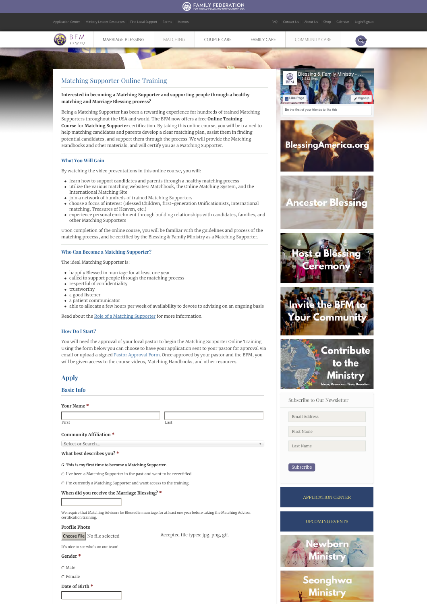

**This is my first time to become a Matching Supporter.**

I've been a Matching Supporter in the past and want to be recertified.

I'm currently a Matching Supporter and want access to the training.

**When did you receive the Marriage Blessing? \***

We require that Matching Advisors be Blessed in marriage for at least one year before taking the Matching Advisor certification training.

**Profile Photo**

Choose File No file selected Accepted file types: jpg, png, gif.

Subscribe

APPLICATION CENTER

UPCOMING EVENTS

eonghwa Ministr

born

It's nice to see who's on our team!

#### **Gender \***

C Male

**Date of Birth \*** C Female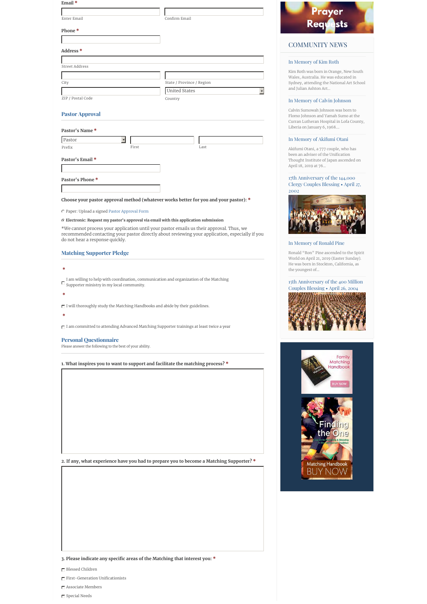| Email*                                                                                                                                                                                                                                                                                                                                                                                                                                                                                                                                              |       |                           |  |
|-----------------------------------------------------------------------------------------------------------------------------------------------------------------------------------------------------------------------------------------------------------------------------------------------------------------------------------------------------------------------------------------------------------------------------------------------------------------------------------------------------------------------------------------------------|-------|---------------------------|--|
|                                                                                                                                                                                                                                                                                                                                                                                                                                                                                                                                                     |       |                           |  |
| Enter Email                                                                                                                                                                                                                                                                                                                                                                                                                                                                                                                                         |       | Confirm Email             |  |
| Phone*                                                                                                                                                                                                                                                                                                                                                                                                                                                                                                                                              |       |                           |  |
| Address <sup>*</sup>                                                                                                                                                                                                                                                                                                                                                                                                                                                                                                                                |       |                           |  |
|                                                                                                                                                                                                                                                                                                                                                                                                                                                                                                                                                     |       |                           |  |
| <b>Street Address</b>                                                                                                                                                                                                                                                                                                                                                                                                                                                                                                                               |       |                           |  |
| City                                                                                                                                                                                                                                                                                                                                                                                                                                                                                                                                                |       | State / Province / Region |  |
|                                                                                                                                                                                                                                                                                                                                                                                                                                                                                                                                                     |       | United States             |  |
| ZIP / Postal Code                                                                                                                                                                                                                                                                                                                                                                                                                                                                                                                                   |       | Country                   |  |
| <b>Pastor Approval</b>                                                                                                                                                                                                                                                                                                                                                                                                                                                                                                                              |       |                           |  |
| Pastor's Name*                                                                                                                                                                                                                                                                                                                                                                                                                                                                                                                                      |       |                           |  |
| Pastor                                                                                                                                                                                                                                                                                                                                                                                                                                                                                                                                              |       |                           |  |
| Prefix                                                                                                                                                                                                                                                                                                                                                                                                                                                                                                                                              | First | Last                      |  |
| Pastor's Email *                                                                                                                                                                                                                                                                                                                                                                                                                                                                                                                                    |       |                           |  |
|                                                                                                                                                                                                                                                                                                                                                                                                                                                                                                                                                     |       |                           |  |
| Pastor's Phone*                                                                                                                                                                                                                                                                                                                                                                                                                                                                                                                                     |       |                           |  |
|                                                                                                                                                                                                                                                                                                                                                                                                                                                                                                                                                     |       |                           |  |
|                                                                                                                                                                                                                                                                                                                                                                                                                                                                                                                                                     |       |                           |  |
| Choose your pastor approval method (whatever works better for you and your pastor): *                                                                                                                                                                                                                                                                                                                                                                                                                                                               |       |                           |  |
| C Paper: Upload a signed Pastor Approval Form                                                                                                                                                                                                                                                                                                                                                                                                                                                                                                       |       |                           |  |
| C Electronic: Request my pastor's approval via email with this application submission                                                                                                                                                                                                                                                                                                                                                                                                                                                               |       |                           |  |
| *We cannot process your application until your pastor emails us their approval. Thus, we<br>recommended contacting your pastor directly about reviewing your application, especially if you<br>do not hear a response quickly.                                                                                                                                                                                                                                                                                                                      |       |                           |  |
| <b>Matching Supporter Pledge</b>                                                                                                                                                                                                                                                                                                                                                                                                                                                                                                                    |       |                           |  |
|                                                                                                                                                                                                                                                                                                                                                                                                                                                                                                                                                     |       |                           |  |
|                                                                                                                                                                                                                                                                                                                                                                                                                                                                                                                                                     |       |                           |  |
|                                                                                                                                                                                                                                                                                                                                                                                                                                                                                                                                                     |       |                           |  |
| I am willing to help with coordination, communication and organization of the Matching                                                                                                                                                                                                                                                                                                                                                                                                                                                              |       |                           |  |
|                                                                                                                                                                                                                                                                                                                                                                                                                                                                                                                                                     |       |                           |  |
|                                                                                                                                                                                                                                                                                                                                                                                                                                                                                                                                                     |       |                           |  |
|                                                                                                                                                                                                                                                                                                                                                                                                                                                                                                                                                     |       |                           |  |
|                                                                                                                                                                                                                                                                                                                                                                                                                                                                                                                                                     |       |                           |  |
|                                                                                                                                                                                                                                                                                                                                                                                                                                                                                                                                                     |       |                           |  |
|                                                                                                                                                                                                                                                                                                                                                                                                                                                                                                                                                     |       |                           |  |
|                                                                                                                                                                                                                                                                                                                                                                                                                                                                                                                                                     |       |                           |  |
|                                                                                                                                                                                                                                                                                                                                                                                                                                                                                                                                                     |       |                           |  |
|                                                                                                                                                                                                                                                                                                                                                                                                                                                                                                                                                     |       |                           |  |
|                                                                                                                                                                                                                                                                                                                                                                                                                                                                                                                                                     |       |                           |  |
|                                                                                                                                                                                                                                                                                                                                                                                                                                                                                                                                                     |       |                           |  |
|                                                                                                                                                                                                                                                                                                                                                                                                                                                                                                                                                     |       |                           |  |
|                                                                                                                                                                                                                                                                                                                                                                                                                                                                                                                                                     |       |                           |  |
|                                                                                                                                                                                                                                                                                                                                                                                                                                                                                                                                                     |       |                           |  |
|                                                                                                                                                                                                                                                                                                                                                                                                                                                                                                                                                     |       |                           |  |
|                                                                                                                                                                                                                                                                                                                                                                                                                                                                                                                                                     |       |                           |  |
|                                                                                                                                                                                                                                                                                                                                                                                                                                                                                                                                                     |       |                           |  |
|                                                                                                                                                                                                                                                                                                                                                                                                                                                                                                                                                     |       |                           |  |
|                                                                                                                                                                                                                                                                                                                                                                                                                                                                                                                                                     |       |                           |  |
|                                                                                                                                                                                                                                                                                                                                                                                                                                                                                                                                                     |       |                           |  |
|                                                                                                                                                                                                                                                                                                                                                                                                                                                                                                                                                     |       |                           |  |
|                                                                                                                                                                                                                                                                                                                                                                                                                                                                                                                                                     |       |                           |  |
| *<br>$\Box$ Supporter ministry in my local community.<br>*<br>$\square$ I will thoroughly study the Matching Handbooks and abide by their guidelines.<br>$\ast$<br>$\blacksquare$ I am committed to attending Advanced Matching Supporter trainings at least twice a year<br><b>Personal Questionnaire</b><br>Please answer the following to the best of your ability.<br>1. What inspires you to want to support and facilitate the matching process? *<br>2. If any, what experience have you had to prepare you to become a Matching Supporter?* |       |                           |  |
|                                                                                                                                                                                                                                                                                                                                                                                                                                                                                                                                                     |       |                           |  |
|                                                                                                                                                                                                                                                                                                                                                                                                                                                                                                                                                     |       |                           |  |
|                                                                                                                                                                                                                                                                                                                                                                                                                                                                                                                                                     |       |                           |  |
|                                                                                                                                                                                                                                                                                                                                                                                                                                                                                                                                                     |       |                           |  |
|                                                                                                                                                                                                                                                                                                                                                                                                                                                                                                                                                     |       |                           |  |



## COMMUNITY NEWS

### In Memory of Kim Roth

Kim Roth was born in Orange, New South Wales, Australia. He was educated in Sydney, attending the National Art School and Julian Ashton Art…

### In Memory of Calvin Johnson

Calvin Sumowah Johnson was born to Flomo Johnson and Yamah Sumo at the Curran Lutheran Hospital in Lofa County, Liberia on January 6, 1968.…

## In Memory of Akifumi Otani

Akifumi Otani, a 777 couple, who has been an adviser of the Unification Thought Institute of Japan ascended on April 18, 2019 at 76…

### 17th Anniversary of the 144,000 Clergy Couples Blessing • April 27, 2002



## In Memory of Ronald Pine

Ronald "Ron" Pine ascended to the Spirit World on April 21, 2019 (Easter Sunday). He was born in Stockton, California, as the youngest of…

### 15th Anniversary of the 400 Million Couples Blessing • April 26, 2004







 $\mathop{\boxdot}\limits \mathop{\rm Blessed}\nolimits$  Children

 $\Box$  First-Generation Unificationists

Associate Members

 $\Box$  Special Needs